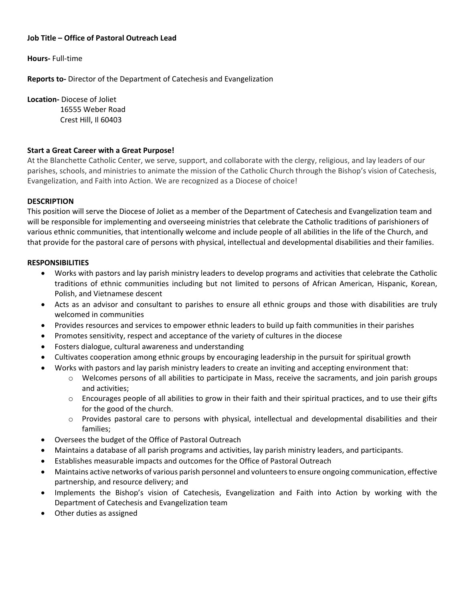# **Job Title – Office of Pastoral Outreach Lead**

**Hours-** Full-time

**Reports to-** Director of the Department of Catechesis and Evangelization

**Location-** Diocese of Joliet

 16555 Weber Road Crest Hill, Il 60403

#### **Start a Great Career with a Great Purpose!**

At the Blanchette Catholic Center, we serve, support, and collaborate with the clergy, religious, and lay leaders of our parishes, schools, and ministries to animate the mission of the Catholic Church through the Bishop's vision of Catechesis, Evangelization, and Faith into Action. We are recognized as a Diocese of choice!

# **DESCRIPTION**

This position will serve the Diocese of Joliet as a member of the Department of Catechesis and Evangelization team and will be responsible for implementing and overseeing ministries that celebrate the Catholic traditions of parishioners of various ethnic communities, that intentionally welcome and include people of all abilities in the life of the Church, and that provide for the pastoral care of persons with physical, intellectual and developmental disabilities and their families.

#### **RESPONSIBILITIES**

- Works with pastors and lay parish ministry leaders to develop programs and activities that celebrate the Catholic traditions of ethnic communities including but not limited to persons of African American, Hispanic, Korean, Polish, and Vietnamese descent
- Acts as an advisor and consultant to parishes to ensure all ethnic groups and those with disabilities are truly welcomed in communities
- Provides resources and services to empower ethnic leaders to build up faith communities in their parishes
- Promotes sensitivity, respect and acceptance of the variety of cultures in the diocese
- Fosters dialogue, cultural awareness and understanding
- Cultivates cooperation among ethnic groups by encouraging leadership in the pursuit for spiritual growth
- Works with pastors and lay parish ministry leaders to create an inviting and accepting environment that:
	- o Welcomes persons of all abilities to participate in Mass, receive the sacraments, and join parish groups and activities;
	- $\circ$  Encourages people of all abilities to grow in their faith and their spiritual practices, and to use their gifts for the good of the church.
	- o Provides pastoral care to persons with physical, intellectual and developmental disabilities and their families;
- Oversees the budget of the Office of Pastoral Outreach
- Maintains a database of all parish programs and activities, lay parish ministry leaders, and participants.
- Establishes measurable impacts and outcomes for the Office of Pastoral Outreach
- Maintains active networks of various parish personnel and volunteers to ensure ongoing communication, effective partnership, and resource delivery; and
- Implements the Bishop's vision of Catechesis, Evangelization and Faith into Action by working with the Department of Catechesis and Evangelization team
- Other duties as assigned